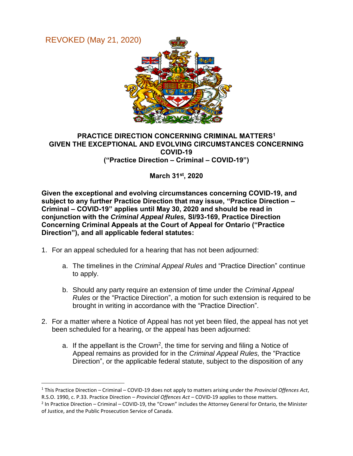REVOKED (May 21, 2020)

 $\overline{a}$ 



## **PRACTICE DIRECTION CONCERNING CRIMINAL MATTERS<sup>1</sup> GIVEN THE EXCEPTIONAL AND EVOLVING CIRCUMSTANCES CONCERNING COVID-19 ("Practice Direction – Criminal – COVID-19")**

**March 31st, 2020**

**Given the exceptional and evolving circumstances concerning COVID-19, and subject to any further Practice Direction that may issue, "Practice Direction – Criminal – COVID-19" applies until May 30, 2020 and should be read in conjunction with the** *Criminal Appeal Rules,* **SI/93-169, Practice Direction Concerning Criminal Appeals at the Court of Appeal for Ontario ("Practice Direction"), and all applicable federal statutes:** 

- 1. For an appeal scheduled for a hearing that has not been adjourned:
	- a. The timelines in the *Criminal Appeal Rules* and "Practice Direction" continue to apply.
	- b. Should any party require an extension of time under the *Criminal Appeal Rules* or the "Practice Direction", a motion for such extension is required to be brought in writing in accordance with the "Practice Direction".
- 2. For a matter where a Notice of Appeal has not yet been filed, the appeal has not yet been scheduled for a hearing, or the appeal has been adjourned:
	- a. If the appellant is the Crown<sup>2</sup>, the time for serving and filing a Notice of Appeal remains as provided for in the *Criminal Appeal Rules,* the "Practice Direction", or the applicable federal statute, subject to the disposition of any

<sup>1</sup> This Practice Direction – Criminal – COVID-19 does not apply to matters arising under the *Provincial Offences Act*, R.S.O. 1990, c. P.33. Practice Direction – *Provincial Offences Act* – COVID-19 applies to those matters.

 $2$  In Practice Direction – Criminal – COVID-19, the "Crown" includes the Attorney General for Ontario, the Minister of Justice, and the Public Prosecution Service of Canada.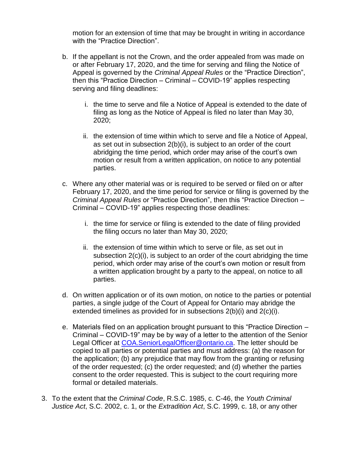motion for an extension of time that may be brought in writing in accordance with the "Practice Direction".

- b. If the appellant is not the Crown, and the order appealed from was made on or after February 17, 2020, and the time for serving and filing the Notice of Appeal is governed by the *Criminal Appeal Rules* or the "Practice Direction", then this "Practice Direction – Criminal – COVID-19" applies respecting serving and filing deadlines:
	- i. the time to serve and file a Notice of Appeal is extended to the date of filing as long as the Notice of Appeal is filed no later than May 30, 2020;
	- ii. the extension of time within which to serve and file a Notice of Appeal, as set out in subsection 2(b)(i), is subject to an order of the court abridging the time period, which order may arise of the court's own motion or result from a written application, on notice to any potential parties.
- c. Where any other material was or is required to be served or filed on or after February 17, 2020, and the time period for service or filing is governed by the *Criminal Appeal Rules* or "Practice Direction", then this "Practice Direction – Criminal – COVID-19" applies respecting those deadlines:
	- i. the time for service or filing is extended to the date of filing provided the filing occurs no later than May 30, 2020;
	- ii. the extension of time within which to serve or file, as set out in subsection 2(c)(i), is subject to an order of the court abridging the time period, which order may arise of the court's own motion or result from a written application brought by a party to the appeal, on notice to all parties.
- d. On written application or of its own motion, on notice to the parties or potential parties, a single judge of the Court of Appeal for Ontario may abridge the extended timelines as provided for in subsections 2(b)(i) and 2(c)(i).
- e. Materials filed on an application brought pursuant to this "Practice Direction Criminal – COVID-19" may be by way of a letter to the attention of the Senior Legal Officer at [COA.SeniorLegalOfficer@ontario.ca.](mailto:COA.SeniorLegalOfficer@ontario.ca) The letter should be copied to all parties or potential parties and must address: (a) the reason for the application; (b) any prejudice that may flow from the granting or refusing of the order requested; (c) the order requested; and (d) whether the parties consent to the order requested. This is subject to the court requiring more formal or detailed materials.
- 3. To the extent that the *Criminal Code*, R.S.C. 1985, c. C-46, the *Youth Criminal Justice Act*, S.C. 2002, c. 1, or the *Extradition Act*, S.C. 1999, c. 18, or any other